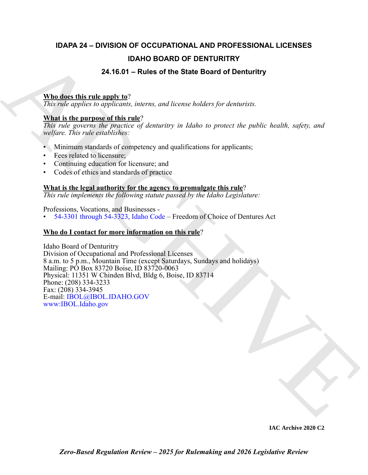## **IDAPA 24 – DIVISION OF OCCUPATIONAL AND PROFESSIONAL LICENSES IDAHO BOARD OF DENTURITRY**

### **24.16.01 – Rules of the State Board of Denturitry**

#### **Who does this rule apply to**?

*This rule applies to applicants, interns, and license holders for denturists.*

#### **What is the purpose of this rule**?

*This rule governs the practice of denturitry in Idaho to protect the public health, safety, and welfare. This rule establishes:*

- Minimum standards of competency and qualifications for applicants;
- Fees related to licensure;
- Continuing education for licensure; and
- Codes of ethics and standards of practice

#### **What is the legal authority for the agency to promulgate this rule**?

*This rule implements the following statute passed by the Idaho Legislature:*

Professions, Vocations, and Businesses - • 54-3301 through 54-3323, Idaho Code – Freedom of Choice of Dentures Act

#### **Who do I contact for more information on this rule**?

**DAHO BOARD OF DENTURITRY**<br>
24.46.01 – Rules of the State Board of Denturity<br>
This ratio applies to applicate, solends and linear bridges for denturists.<br>
This ratio applies to applicate solend the state bridges for dentu Idaho Board of Denturitry Division of Occupational and Professional Licenses 8 a.m. to 5 p.m., Mountain Time (except Saturdays, Sundays and holidays) Mailing: PO Box 83720 Boise, ID 83720-0063 Physical: 11351 W Chinden Blvd, Bldg 6, Boise, ID 83714 Phone: (208) 334-3233 Fax: (208) 334-3945 E-mail: IBOL@IBOL.IDAHO.GOV www:IBOL.Idaho.gov

**IAC Archive 2020 C2**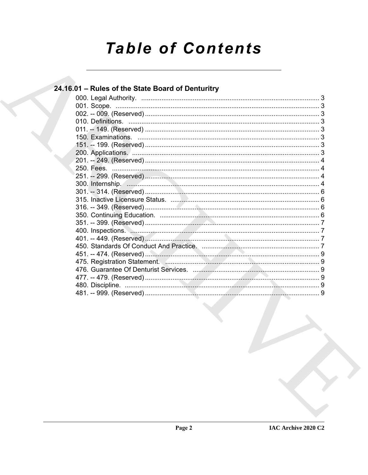# **Table of Contents**

#### 24.16.01 - Rules of the State Board of Denturitry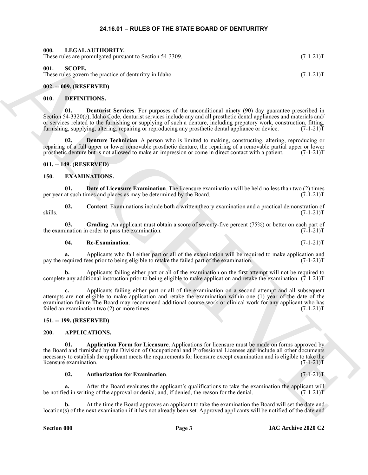#### **24.16.01 – RULES OF THE STATE BOARD OF DENTURITRY**

<span id="page-2-19"></span><span id="page-2-1"></span><span id="page-2-0"></span>

| 000. | LEGAL AUTHORITY.                                         |             |
|------|----------------------------------------------------------|-------------|
|      | These rules are promulgated pursuant to Section 54-3309. | $(7-1-21)T$ |
|      |                                                          |             |

<span id="page-2-20"></span><span id="page-2-2"></span>**001. SCOPE.**

These rules govern the practice of denturitry in Idaho. (7-1-21)T

#### <span id="page-2-3"></span>**002. -- 009. (RESERVED)**

#### <span id="page-2-12"></span><span id="page-2-4"></span>**010. DEFINITIONS.**

<span id="page-2-13"></span>**01. Denturist Services**. For purposes of the unconditional ninety (90) day guarantee prescribed in Section 54-3320(c), Idaho Code, denturist services include any and all prosthetic dental appliances and materials and/ or services related to the furnishing or supplying of such a denture, including prepatory work, construction, fitting, furnishing, supplying, altering, repairing or reproducing any prosthetic dental appliance or device. (7 furnishing, supplying, altering, repairing or reproducing any prosthetic dental appliance or device.

**Denture Technician.** A person who is limited to making, constructing, altering, reproducing or repairing of a full upper or lower removable prosthetic denture, the repairing of a removable partial upper or lower prosthetic denture but is not allowed to make an impression or come in direct contact with a patient. (7-1-21)T

#### <span id="page-2-5"></span>**011. -- 149. (RESERVED)**

#### <span id="page-2-14"></span><span id="page-2-6"></span>**150. EXAMINATIONS.**

<span id="page-2-16"></span>**01. Date of Licensure Examination**. The licensure examination will be held no less than two (2) times at such times and places as may be determined by the Board. (7-1-21) per year at such times and places as may be determined by the Board.

<span id="page-2-15"></span>**02.** Content. Examinations include both a written theory examination and a practical demonstration of  $(7-1-21)$ skills. (7-1-21)T

**03.** Grading. An applicant must obtain a score of seventy-five percent (75%) or better on each part of ination in order to pass the examination. (7-1-21) the examination in order to pass the examination.

#### <span id="page-2-18"></span><span id="page-2-17"></span>**04. Re-Examination**. (7-1-21)T

**a.** Applicants who fail either part or all of the examination will be required to make application and pay the required fees prior to being eligible to retake the failed part of the examination. (7-1-21)T

**b.** Applicants failing either part or all of the examination on the first attempt will not be required to complete any additional instruction prior to being eligible to make application and retake the examination. (7-1-21)T

**c.** Applicants failing either part or all of the examination on a second attempt and all subsequent attempts are not eligible to make application and retake the examination within one (1) year of the date of the examination failure The Board may recommend additional course work or clinical work for any applicant who has failed an examination two (2) or more times. (7-1-21)T

#### <span id="page-2-7"></span>**151. -- 199. (RESERVED)**

#### <span id="page-2-9"></span><span id="page-2-8"></span>**200. APPLICATIONS.**

Hence the special state and to Society 24-3388.<br>
(C-1-2117<br>
Hence I also special state and the special state and the special state of the special state and the special state<br>
(ii). A CHIVE CONTINUES State and the special **01. Application Form for Licensure**. Applications for licensure must be made on forms approved by the Board and furnished by the Division of Occupational and Professional Licenses and include all other documents necessary to establish the applicant meets the requirements for licensure except examination and is eligible to take the licensure examination. (7-1-21)T

#### <span id="page-2-11"></span><span id="page-2-10"></span>**02. Authorization for Examination**. (7-1-21)T

**a.** After the Board evaluates the applicant's qualifications to take the examination the applicant will ed in writing of the approval or denial, and, if denied, the reason for the denial. (7-1-21) be notified in writing of the approval or denial, and, if denied, the reason for the denial.

**b.** At the time the Board approves an applicant to take the examination the Board will set the date and location(s) of the next examination if it has not already been set. Approved applicants will be notified of the date and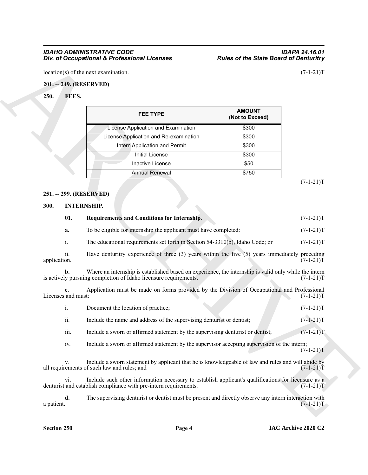#### <span id="page-3-0"></span>**201. -- 249. (RESERVED)**

#### <span id="page-3-4"></span><span id="page-3-1"></span>**250. FEES.**

| <b>FEE TYPE</b>                        | <b>AMOUNT</b><br>(Not to Exceed) |
|----------------------------------------|----------------------------------|
| License Application and Examination    | \$300                            |
| License Application and Re-examination | \$300                            |
| Intern Application and Permit          | \$300                            |
| Initial License                        | \$300                            |
| Inactive License                       | \$50                             |
| <b>Annual Renewal</b>                  | \$750                            |
|                                        |                                  |

#### <span id="page-3-2"></span>**251. -- 299. (RESERVED)**

#### <span id="page-3-6"></span><span id="page-3-5"></span><span id="page-3-3"></span>**300. INTERNSHIP.**

|                          | location(s) of the next examination.                                                                                                                                    |                                  | $(7-1-21)T$                                                                            |
|--------------------------|-------------------------------------------------------------------------------------------------------------------------------------------------------------------------|----------------------------------|----------------------------------------------------------------------------------------|
| 201. -- 249. (RESERVED)  |                                                                                                                                                                         |                                  |                                                                                        |
| 250.<br>FEES.            |                                                                                                                                                                         |                                  |                                                                                        |
|                          |                                                                                                                                                                         |                                  |                                                                                        |
|                          | <b>FEE TYPE</b>                                                                                                                                                         | <b>AMOUNT</b><br>(Not to Exceed) |                                                                                        |
|                          | License Application and Examination                                                                                                                                     | \$300                            |                                                                                        |
|                          | License Application and Re-examination                                                                                                                                  | \$300                            |                                                                                        |
|                          | Intern Application and Permit                                                                                                                                           | \$300                            |                                                                                        |
|                          | <b>Initial License</b>                                                                                                                                                  | \$300                            |                                                                                        |
|                          | Inactive License                                                                                                                                                        | \$50                             |                                                                                        |
|                          | <b>Annual Renewal</b>                                                                                                                                                   | \$750                            |                                                                                        |
|                          |                                                                                                                                                                         |                                  | $(7-1-21)T$                                                                            |
| 251. -- 299. (RESERVED)  |                                                                                                                                                                         |                                  |                                                                                        |
| 300.                     | <b>INTERNSHIP.</b>                                                                                                                                                      |                                  |                                                                                        |
| 01.                      | Requirements and Conditions for Internship.                                                                                                                             |                                  | $(7-1-21)T$                                                                            |
| a.                       | To be eligible for internship the applicant must have completed:                                                                                                        |                                  | $(7-1-21)T$                                                                            |
| i.                       | The educational requirements set forth in Section 54-3310(b), Idaho Code; or                                                                                            |                                  | $(7-1-21)T$                                                                            |
| ii.<br>application.      | Have denturitry experience of three $(3)$ years within the five $(5)$ years immediately preceding                                                                       |                                  | $(7-1-21)T$                                                                            |
|                          | Where an internship is established based on experience, the internship is valid only while the intern                                                                   |                                  |                                                                                        |
| b.                       | is actively pursuing completion of Idaho licensure requirements.                                                                                                        |                                  |                                                                                        |
| c.                       | Application must be made on forms provided by the Division of Occupational and Professional                                                                             |                                  |                                                                                        |
| Licenses and must:<br>i. | Document the location of practice;                                                                                                                                      |                                  |                                                                                        |
| ii.                      | Include the name and address of the supervising denturist or dentist;                                                                                                   |                                  |                                                                                        |
| iii.                     | Include a sworn or affirmed statement by the supervising denturist or dentist;                                                                                          |                                  |                                                                                        |
| iv.                      | Include a sworn or affirmed statement by the supervisor accepting supervision of the intern;                                                                            |                                  | $(7-1-21)T$<br>$(7-1-21)T$<br>$(7-1-21)T$<br>$(7-1-21)T$<br>$(7-1-21)T$<br>$(7-1-21)T$ |
| V.                       | Include a sworn statement by applicant that he is knowledgeable of law and rules and will abide by<br>all requirements of such law and rules; and                       |                                  |                                                                                        |
| vi.                      | Include such other information necessary to establish applicant's qualifications for licensure as a<br>denturist and establish compliance with pre-intern requirements. |                                  | $(7-1-21)T$<br>$(7-1-21)T$                                                             |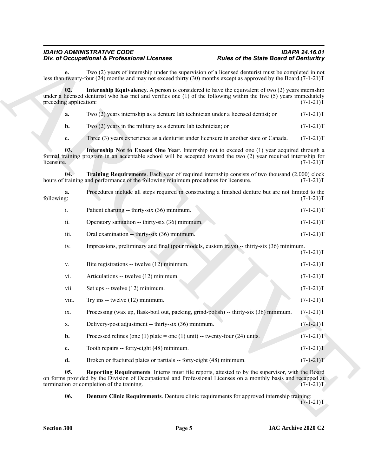#### <span id="page-4-4"></span><span id="page-4-3"></span><span id="page-4-2"></span><span id="page-4-1"></span><span id="page-4-0"></span>*IDAHO ADMINISTRATIVE CODE IDAPA 24.16.01* **Div. of Occupational & Professional Licenses**

|                               | Div. of Occupational & Professional Licenses                                                                                                                                                                                                                     | <b>Rules of the State Board of Denturitry</b> |
|-------------------------------|------------------------------------------------------------------------------------------------------------------------------------------------------------------------------------------------------------------------------------------------------------------|-----------------------------------------------|
| е.                            | Two (2) years of internship under the supervision of a licensed denturist must be completed in not<br>less than twenty-four $(24)$ months and may not exceed thirty $(30)$ months except as approved by the Board. $(7-1-21)$ T                                  |                                               |
| 02.<br>preceding application: | <b>Internship Equivalency.</b> A person is considered to have the equivalent of two (2) years internship<br>under a licensed denturist who has met and verifies one (1) of the following within the five (5) years immediately                                   | $(7-1-21)T$                                   |
| a.                            | Two (2) years internship as a denture lab technician under a licensed dentist; or                                                                                                                                                                                | $(7-1-21)T$                                   |
| b.                            | Two $(2)$ years in the military as a denture lab technician; or                                                                                                                                                                                                  | $(7-1-21)T$                                   |
| c.                            | Three (3) years experience as a denturist under licensure in another state or Canada.                                                                                                                                                                            | $(7-1-21)T$                                   |
| 03.<br>licensure.             | Internship Not to Exceed One Year. Internship not to exceed one (1) year acquired through a<br>formal training program in an acceptable school will be accepted toward the two (2) year required internship for                                                  | $(7-1-21)T$                                   |
| 04.                           | Training Requirements. Each year of required internship consists of two thousand (2,000) clock<br>hours of training and performance of the following minimum procedures for licensure.                                                                           | $(7-1-21)T$                                   |
| a.<br>following:              | Procedures include all steps required in constructing a finished denture but are not limited to the                                                                                                                                                              | $(7-1-21)T$                                   |
| i.                            | Patient charting -- thirty-six (36) minimum.                                                                                                                                                                                                                     | $(7-1-21)T$                                   |
| ii.                           | Operatory sanitation -- thirty-six (36) minimum.                                                                                                                                                                                                                 | $(7-1-21)T$                                   |
| iii.                          | Oral examination -- thirty-six (36) minimum.                                                                                                                                                                                                                     | $(7-1-21)T$                                   |
| iv.                           | Impressions, preliminary and final (pour models, custom trays) -- thirty-six (36) minimum.                                                                                                                                                                       | $(7-1-21)T$                                   |
| V.                            | Bite registrations -- twelve (12) minimum.                                                                                                                                                                                                                       | $(7-1-21)T$                                   |
| vi.                           | Articulations -- twelve (12) minimum.                                                                                                                                                                                                                            | $(7-1-21)T$                                   |
| vii.                          | Set ups -- twelve (12) minimum.                                                                                                                                                                                                                                  | $(7-1-21)T$                                   |
| viii.                         | Try ins $-$ twelve $(12)$ minimum.                                                                                                                                                                                                                               | $(7-1-21)T$                                   |
| ix.                           | Processing (wax up, flask-boil out, packing, grind-polish) -- thirty-six (36) minimum.                                                                                                                                                                           | $(7-1-21)T$                                   |
| х.                            | Delivery-post adjustment -- thirty-six (36) minimum.                                                                                                                                                                                                             | $(7-1-21)T$                                   |
| b.                            | Processed relines (one (1) plate = one (1) unit) -- twenty-four (24) units.                                                                                                                                                                                      | $(7-1-21)T$                                   |
| c.                            | Tooth repairs -- forty-eight (48) minimum.                                                                                                                                                                                                                       | $(7-1-21)T$                                   |
| d.                            | Broken or fractured plates or partials -- forty-eight (48) minimum.                                                                                                                                                                                              | $(7-1-21)T$                                   |
| 05.                           | Reporting Requirements. Interns must file reports, attested to by the supervisor, with the Board<br>on forms provided by the Division of Occupational and Professional Licenses on a monthly basis and recapped at<br>termination or completion of the training. | $(7-1-21)T$                                   |
| 06.                           | <b>Denture Clinic Requirements.</b> Denture clinic requirements for approved internship training:                                                                                                                                                                | $(7-1-21)T$                                   |
|                               |                                                                                                                                                                                                                                                                  |                                               |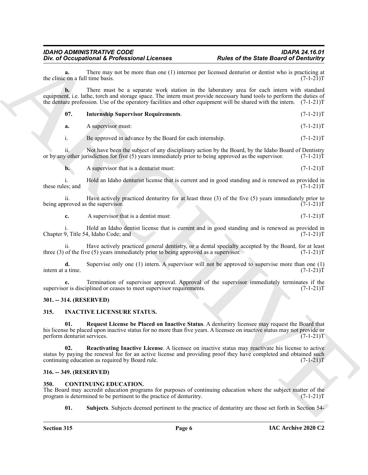#### <span id="page-5-9"></span>*IDAHO ADMINISTRATIVE CODE IDAPA 24.16.01* **Div. of Occupational & Professional Licenses**

|                                        | Div. of Occupational & Professional Licenses                                                           | <b>Rules of the State Board of Denturitry</b>                                                                                                                                                                                                                                                                                                   |             |
|----------------------------------------|--------------------------------------------------------------------------------------------------------|-------------------------------------------------------------------------------------------------------------------------------------------------------------------------------------------------------------------------------------------------------------------------------------------------------------------------------------------------|-------------|
| a.<br>the clinic on a full time basis. |                                                                                                        | There may not be more than one (1) internee per licensed denturist or dentist who is practicing at                                                                                                                                                                                                                                              | $(7-1-21)T$ |
| b.                                     |                                                                                                        | There must be a separate work station in the laboratory area for each intern with standard<br>equipment, i.e. lathe, torch and storage space. The intern must provide necessary hand tools to perform the duties of<br>the denture profession. Use of the operatory facilities and other equipment will be shared with the intern. $(7-1-21)$ T |             |
| 07.                                    | <b>Internship Supervisor Requirements.</b>                                                             |                                                                                                                                                                                                                                                                                                                                                 | $(7-1-21)T$ |
| a.                                     | A supervisor must:                                                                                     |                                                                                                                                                                                                                                                                                                                                                 | $(7-1-21)T$ |
| i.                                     | Be approved in advance by the Board for each internship.                                               |                                                                                                                                                                                                                                                                                                                                                 | $(7-1-21)T$ |
| ii.                                    | or by any other jurisdiction for five (5) years immediately prior to being approved as the supervisor. | Not have been the subject of any disciplinary action by the Board, by the Idaho Board of Dentistry                                                                                                                                                                                                                                              | $(7-1-21)T$ |
| $\mathbf{b}$ .                         | A supervisor that is a denturist must:                                                                 |                                                                                                                                                                                                                                                                                                                                                 | $(7-1-21)T$ |
| these rules; and                       |                                                                                                        | Hold an Idaho denturist license that is current and in good standing and is renewed as provided in                                                                                                                                                                                                                                              | $(7-1-21)T$ |
| ii.                                    | being approved as the supervisor.                                                                      | Have actively practiced denturitry for at least three $(3)$ of the five $(5)$ years immediately prior to                                                                                                                                                                                                                                        | $(7-1-21)T$ |
| c.                                     | A supervisor that is a dentist must:                                                                   |                                                                                                                                                                                                                                                                                                                                                 | $(7-1-21)T$ |
|                                        | Chapter 9, Title 54, Idaho Code; and                                                                   | Hold an Idaho dentist license that is current and in good standing and is renewed as provided in                                                                                                                                                                                                                                                | $(7-1-21)T$ |
| 11.                                    | three $(3)$ of the five $(5)$ years immediately prior to being approved as a supervisor.               | Have actively practiced general dentistry, or a dental specialty accepted by the Board, for at least                                                                                                                                                                                                                                            | $(7-1-21)T$ |
| d.<br>intern at a time.                |                                                                                                        | Supervise only one $(1)$ intern. A supervisor will not be approved to supervise more than one $(1)$                                                                                                                                                                                                                                             | $(7-1-21)T$ |
|                                        | supervisor is disciplined or ceases to meet supervisor requirements.                                   | Termination of supervisor approval. Approval of the supervisor immediately terminates if the                                                                                                                                                                                                                                                    | $(7-1-21)T$ |
| 301. -- 314. (RESERVED)                |                                                                                                        |                                                                                                                                                                                                                                                                                                                                                 |             |
| 315.                                   | <b>INACTIVE LICENSURE STATUS.</b>                                                                      |                                                                                                                                                                                                                                                                                                                                                 |             |
| 01.<br>perform denturist services.     |                                                                                                        | Request License be Placed on Inactive Status. A denturitry licensee may request the Board that<br>his license be placed upon inactive status for no more than five years. A licensee on inactive status may not provide or                                                                                                                      | $(7-1-21)T$ |
| 02.                                    | continuing education as required by Board rule.                                                        | Reactivating Inactive License. A licensee on inactive status may reactivate his license to active<br>status by paying the renewal fee for an active license and providing proof they have completed and obtained such                                                                                                                           | $(7-1-21)T$ |
| 316. -- 349. (RESERVED)                |                                                                                                        |                                                                                                                                                                                                                                                                                                                                                 |             |
| 350.                                   | <b>CONTINUING EDUCATION.</b><br>program is determined to be pertinent to the practice of denturitry.   | The Board may accredit education programs for purposes of continuing education where the subject matter of the                                                                                                                                                                                                                                  | $(7-1-21)T$ |
| 01.                                    |                                                                                                        | <b>Subjects.</b> Subjects deemed pertinent to the practice of denturitry are those set forth in Section 54–                                                                                                                                                                                                                                     |             |

#### <span id="page-5-0"></span>**301. -- 314. (RESERVED)**

#### <span id="page-5-8"></span><span id="page-5-6"></span><span id="page-5-1"></span>**315. INACTIVE LICENSURE STATUS.**

#### <span id="page-5-7"></span><span id="page-5-2"></span>**316. -- 349. (RESERVED)**

#### <span id="page-5-5"></span><span id="page-5-4"></span><span id="page-5-3"></span>**350. CONTINUING EDUCATION.**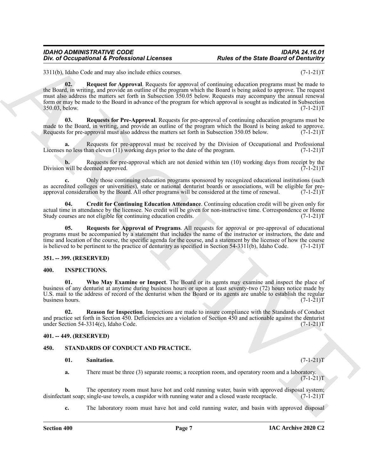#### *IDAHO ADMINISTRATIVE CODE IDAPA 24.16.01* **Div. of Occupational & Professional Licenses**

<span id="page-6-5"></span>3311(b), Idaho Code and may also include ethics courses. (7-1-21) (7-1-21)

One of Occupational K. Professional Licenses<br>
SHORE of the State Board of Devictional State Counter and Control of the State Board of Deviction<br>
SHORE CONTROL STATE CONTROL STATE CONTROL STATE CONTROL STATE CONTROL STATE **02. Request for Approval**. Requests for approval of continuing education programs must be made to the Board, in writing, and provide an outline of the program which the Board is being asked to approve. The request must also address the matters set forth in Subsection 350.05 below. Requests may accompany the annual renewal form or may be made to the Board in advance of the program for which approval is sought as indicated in Subsection 350.03, below.

<span id="page-6-7"></span>**03. Requests for Pre-Approval**. Requests for pre-approval of continuing education programs must be made to the Board, in writing, and provide an outline of the program which the Board is being asked to approve.<br>Requests for pre-approval must also address the matters set forth in Subsection 350.05 below. (7-1-21)T Requests for pre-approval must also address the matters set forth in Subsection 350.05 below.

**a.** Requests for pre-approval must be received by the Division of Occupational and Professional no less than eleven (11) working days prior to the date of the program. (7-1-21) Licenses no less than eleven  $(11)$  working days prior to the date of the program.

**b.** Requests for pre-approval which are not denied within ten (10) working days from receipt by the will be deemed approved.  $(7-1-21)$ Division will be deemed approved.

**c.** Only those continuing education programs sponsored by recognized educational institutions (such as accredited colleges or universities), state or national denturist boards or associations, will be eligible for pre-<br>approval consideration by the Board. All other programs will be considered at the time of renewal. (7-1 approval consideration by the Board. All other programs will be considered at the time of renewal.

<span id="page-6-4"></span>**04. Credit for Continuing Education Attendance**. Continuing education credit will be given only for actual time in attendance by the licensee. No credit will be given for non-instructive time. Correspondence or Home Study courses are not eligible for continuing education credits. (7-1-21)T

<span id="page-6-6"></span>**05. Requests for Approval of Programs**. All requests for approval or pre-approval of educational programs must be accompanied by a statement that includes the name of the instructor or instructors, the date and time and location of the course, the specific agenda for the course, and a statement by the licensee of how the course is believed to be pertinent to the practice of denturitry as specified in Section 54-3311(b), Idaho Code. (7-1-21)T

#### <span id="page-6-0"></span>**351. -- 399. (RESERVED)**

#### <span id="page-6-8"></span><span id="page-6-1"></span>**400. INSPECTIONS.**

<span id="page-6-10"></span>**01. Who May Examine or Inspect**. The Board or its agents may examine and inspect the place of business of any denturist at anytime during business hours or upon at least seventy-two (72) hours notice made by U.S. mail to the address of record of the denturist when the Board or its agents are unable to establish the regular business hours.  $(7-1-21)T$ 

<span id="page-6-9"></span>**02. Reason for Inspection**. Inspections are made to insure compliance with the Standards of Conduct and practice set forth in Section 450. Deficiencies are a violation of Section 450 and actionable against the denturist under Section 54-3314(c), Idaho Code. (7-1-21)T

#### <span id="page-6-2"></span>**401. -- 449. (RESERVED)**

#### <span id="page-6-3"></span>**450. STANDARDS OF CONDUCT AND PRACTICE.**

#### <span id="page-6-12"></span><span id="page-6-11"></span>**01.** Sanitation. (7-1-21)T

**a.** There must be three (3) separate rooms; a reception room, and operatory room and a laboratory.  $(7-1-21)T$ 

**b.** The operatory room must have hot and cold running water, basin with approved disposal system; ant soap; single-use towels, a cuspidor with running water and a closed waste receptacle. (7-1-21) disinfectant soap; single-use towels, a cuspidor with running water and a closed waste receptacle.

**c.** The laboratory room must have hot and cold running water, and basin with approved disposal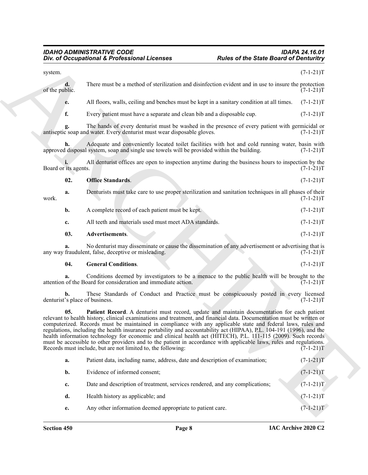#### <span id="page-7-2"></span>*IDAHO ADMINISTRATIVE CODE IDAPA 24.16.01 Div. of Occupational & Professional Licenses Rules of the State Board of Denturitry*

|                                      | Div. of Occupational & Professional Licenses                                                                                                                                                                                                                                                                                                                                                                                                                                                                                                                                                                                                                                                                                                                          | <b>Rules of the State Board of Denturitry</b> |             |
|--------------------------------------|-----------------------------------------------------------------------------------------------------------------------------------------------------------------------------------------------------------------------------------------------------------------------------------------------------------------------------------------------------------------------------------------------------------------------------------------------------------------------------------------------------------------------------------------------------------------------------------------------------------------------------------------------------------------------------------------------------------------------------------------------------------------------|-----------------------------------------------|-------------|
| system.                              |                                                                                                                                                                                                                                                                                                                                                                                                                                                                                                                                                                                                                                                                                                                                                                       |                                               | $(7-1-21)T$ |
| d.<br>of the public.                 | There must be a method of sterilization and disinfection evident and in use to insure the protection                                                                                                                                                                                                                                                                                                                                                                                                                                                                                                                                                                                                                                                                  |                                               | $(7-1-21)T$ |
| e.                                   | All floors, walls, ceiling and benches must be kept in a sanitary condition at all times.                                                                                                                                                                                                                                                                                                                                                                                                                                                                                                                                                                                                                                                                             |                                               | $(7-1-21)T$ |
| f.                                   | Every patient must have a separate and clean bib and a disposable cup.                                                                                                                                                                                                                                                                                                                                                                                                                                                                                                                                                                                                                                                                                                |                                               | $(7-1-21)T$ |
|                                      | The hands of every denturist must be washed in the presence of every patient with germicidal or<br>antiseptic soap and water. Every denturist must wear disposable gloves.                                                                                                                                                                                                                                                                                                                                                                                                                                                                                                                                                                                            |                                               | $(7-1-21)T$ |
| h.                                   | Adequate and conveniently located toilet facilities with hot and cold running water, basin with<br>approved disposal system, soap and single use towels will be provided within the building.                                                                                                                                                                                                                                                                                                                                                                                                                                                                                                                                                                         |                                               | $(7-1-21)T$ |
| Board or its agents.                 | All denturist offices are open to inspection anytime during the business hours to inspection by the                                                                                                                                                                                                                                                                                                                                                                                                                                                                                                                                                                                                                                                                   |                                               | $(7-1-21)T$ |
| 02.                                  | <b>Office Standards.</b>                                                                                                                                                                                                                                                                                                                                                                                                                                                                                                                                                                                                                                                                                                                                              |                                               | $(7-1-21)T$ |
| a.<br>work.                          | Denturists must take care to use proper sterilization and sanitation techniques in all phases of their                                                                                                                                                                                                                                                                                                                                                                                                                                                                                                                                                                                                                                                                |                                               | $(7-1-21)T$ |
| $\mathbf{b}$ .                       | A complete record of each patient must be kept.                                                                                                                                                                                                                                                                                                                                                                                                                                                                                                                                                                                                                                                                                                                       |                                               | $(7-1-21)T$ |
| c.                                   | All teeth and materials used must meet ADA standards.                                                                                                                                                                                                                                                                                                                                                                                                                                                                                                                                                                                                                                                                                                                 |                                               | $(7-1-21)T$ |
| 03.                                  | Advertisements.                                                                                                                                                                                                                                                                                                                                                                                                                                                                                                                                                                                                                                                                                                                                                       |                                               | $(7-1-21)T$ |
|                                      | No denturist may disseminate or cause the dissemination of any advertisement or advertising that is<br>any way fraudulent, false, deceptive or misleading.                                                                                                                                                                                                                                                                                                                                                                                                                                                                                                                                                                                                            |                                               | $(7-1-21)T$ |
| 04.                                  | <b>General Conditions.</b>                                                                                                                                                                                                                                                                                                                                                                                                                                                                                                                                                                                                                                                                                                                                            |                                               | $(7-1-21)T$ |
|                                      | Conditions deemed by investigators to be a menace to the public health will be brought to the<br>attention of the Board for consideration and immediate action.                                                                                                                                                                                                                                                                                                                                                                                                                                                                                                                                                                                                       |                                               | $(7-1-21)T$ |
| b.<br>denturist's place of business. | These Standards of Conduct and Practice must be conspicuously posted in every licensed                                                                                                                                                                                                                                                                                                                                                                                                                                                                                                                                                                                                                                                                                |                                               | $(7-1-21)T$ |
| 05.                                  | Patient Record. A denturist must record, update and maintain documentation for each patient<br>relevant to health history, clinical examinations and treatment, and financial data. Documentation must be written or<br>computerized. Records must be maintained in compliance with any applicable state and federal laws, rules and<br>regulations, including the health insurance portability and accountability act (HIPAA), P.L. 104-191 (1996), and the<br>health information technology for economic and clinical health act (HITECH), P.L. 111-115 (2009). Such records<br>must be accessible to other providers and to the patient in accordance with applicable laws, rules and regulations.<br>Records must include, but are not limited to, the following: |                                               | $(7-1-21)T$ |
| a.                                   | Patient data, including name, address, date and description of examination;                                                                                                                                                                                                                                                                                                                                                                                                                                                                                                                                                                                                                                                                                           |                                               | $(7-1-21)T$ |
| b.                                   | Evidence of informed consent;                                                                                                                                                                                                                                                                                                                                                                                                                                                                                                                                                                                                                                                                                                                                         |                                               | $(7-1-21)T$ |
| c.                                   | Date and description of treatment, services rendered, and any complications;                                                                                                                                                                                                                                                                                                                                                                                                                                                                                                                                                                                                                                                                                          |                                               | $(7-1-21)T$ |
| d.                                   | Health history as applicable; and                                                                                                                                                                                                                                                                                                                                                                                                                                                                                                                                                                                                                                                                                                                                     |                                               | $(7-1-21)T$ |
|                                      | Any other information deemed appropriate to patient care.                                                                                                                                                                                                                                                                                                                                                                                                                                                                                                                                                                                                                                                                                                             |                                               | $(7-1-21)T$ |

<span id="page-7-3"></span><span id="page-7-1"></span><span id="page-7-0"></span>

| a. | Patient data, including name, address, date and description of examination;  | $(7-1-21)T$ |
|----|------------------------------------------------------------------------------|-------------|
| b. | Evidence of informed consent;                                                | $(7-1-21)T$ |
| c. | Date and description of treatment, services rendered, and any complications; | $(7-1-21)T$ |
| d. | Health history as applicable; and                                            | $(7-1-21)T$ |
| e. | Any other information deemed appropriate to patient care.                    | $(7-1-21)T$ |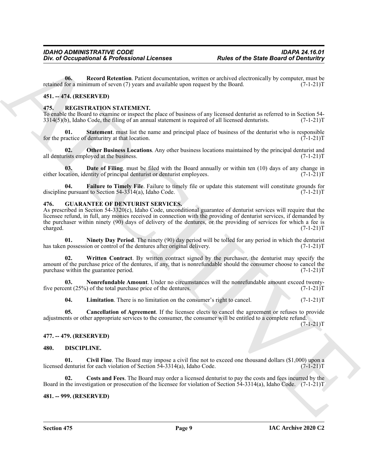**06.** Record Retention. Patient documentation, written or archived electronically by computer, must be for a minimum of seven (7) years and available upon request by the Board. (7-1-21) retained for a minimum of seven (7) years and available upon request by the Board.

#### <span id="page-8-0"></span>**451. -- 474. (RESERVED)**

#### <span id="page-8-15"></span><span id="page-8-1"></span>**475. REGISTRATION STATEMENT.**

To enable the Board to examine or inspect the place of business of any licensed denturist as referred to in Section 54-<br>3314(5)(b), Idaho Code, the filing of an annual statement is required of all licensed denturists. (7- $3314(5)$ (b), Idaho Code, the filing of an annual statement is required of all licensed denturists.

<span id="page-8-19"></span>**01.** Statement. must list the name and principal place of business of the denturist who is responsible ractice of denturitry at that location. (7-1-21) for the practice of denturitry at that location.

<span id="page-8-18"></span>**02. Other Business Locations**. Any other business locations maintained by the principal denturist and all denturists employed at the business. (7-1-21)T

<span id="page-8-16"></span>**03. Date of Filing**. must be filed with the Board annually or within ten (10) days of any change in cation, identity of principal denturist or denturist employees. (7-1-21) either location, identity of principal denturist or denturist employees.

<span id="page-8-17"></span>**04. Failure to Timely File**. Failure to timely file or update this statement will constitute grounds for e pursuant to Section 54-3314(a), Idaho Code. discipline pursuant to Section  $54-3314(a)$ , Idaho Code.

#### <span id="page-8-9"></span><span id="page-8-2"></span>**476. GUARANTEE OF DENTURIST SERVICES.**

For d'Occupational & Professional Licenses<br>
Units of the State Board of Denisinity<br>
(a) Record Research of the Eure Record Contains (a) and the results of the Eure Record Contains (a) by complete  $\frac{1}{(1 + 1)^2}$ <br>
(4) REGR As prescribed in Section 54-3320(c), Idaho Code, unconditional guarantee of denturist services will require that the licensee refund, in full, any monies received in connection with the providing of denturist services, if demanded by the purchaser within ninety (90) days of delivery of the dentures, or the providing of services for which a fee is charged.  $(7-1-21)$ T charged.  $(7-1-21)$ T

<span id="page-8-12"></span>**01. Ninety Day Period**. The ninety (90) day period will be tolled for any period in which the denturist possession or control of the dentures after original delivery. (7-1-21) has taken possession or control of the dentures after original delivery.

<span id="page-8-14"></span>**02. Written Contract**. By written contract signed by the purchaser, the denturist may specify the amount of the purchase price of the dentures, if any, that is nonrefundable should the consumer choose to cancel the purchase within the guarantee period. (7-1-21)T

**03. Nonrefundable Amount**. Under no circumstances will the nonrefundable amount exceed twenty-<br>ent (25%) of the total purchase price of the dentures. (7-1-21) five percent  $(25%)$  of the total purchase price of the dentures.

<span id="page-8-13"></span><span id="page-8-11"></span><span id="page-8-10"></span>**04.** Limitation. There is no limitation on the consumer's right to cancel. (7-1-21)T

**05. Cancellation of Agreement**. If the licensee elects to cancel the agreement or refuses to provide adjustments or other appropriate services to the consumer, the consumer will be entitled to a complete refund.  $(7-1-21)T$ 

#### <span id="page-8-3"></span>**477. -- 479. (RESERVED)**

#### <span id="page-8-7"></span><span id="page-8-6"></span><span id="page-8-4"></span>**480. DISCIPLINE.**

**01.** Civil Fine. The Board may impose a civil fine not to exceed one thousand dollars (\$1,000) upon a denturist for each violation of Section 54-3314(a), Idaho Code. (7-1-21)<sup>T</sup> licensed denturist for each violation of Section  $5\overline{4}$ -3314(a), Idaho Code.

<span id="page-8-8"></span>**02. Costs and Fees**. The Board may order a licensed denturist to pay the costs and fees incurred by the Board in the investigation or prosecution of the licensee for violation of Section 54-3314(a), Idaho Code. (7-1-21)T

#### <span id="page-8-5"></span>**481. -- 999. (RESERVED)**